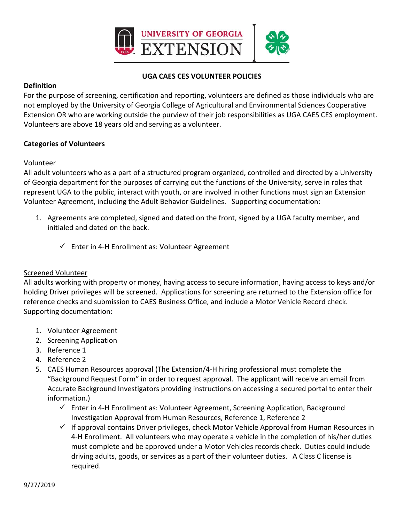

## **UGA CAES CES VOLUNTEER POLICIES**

### **Definition**

For the purpose of screening, certification and reporting, volunteers are defined as those individuals who are not employed by the University of Georgia College of Agricultural and Environmental Sciences Cooperative Extension OR who are working outside the purview of their job responsibilities as UGA CAES CES employment. Volunteers are above 18 years old and serving as a volunteer.

### **Categories of Volunteers**

### Volunteer

All adult volunteers who as a part of a structured program organized, controlled and directed by a University of Georgia department for the purposes of carrying out the functions of the University, serve in roles that represent UGA to the public, interact with youth, or are involved in other functions must sign an Extension Volunteer Agreement, including the Adult Behavior Guidelines. Supporting documentation:

- 1. Agreements are completed, signed and dated on the front, signed by a UGA faculty member, and initialed and dated on the back.
	- Enter in 4‐H Enrollment as: Volunteer Agreement

### Screened Volunteer

All adults working with property or money, having access to secure information, having access to keys and/or holding Driver privileges will be screened. Applications for screening are returned to the Extension office for reference checks and submission to CAES Business Office, and include a Motor Vehicle Record check. Supporting documentation:

- 1. Volunteer Agreement
- 2. Screening Application
- 3. Reference 1
- 4. Reference 2
- 5. CAES Human Resources approval (The Extension/4-H hiring professional must complete the "Background Request Form" in order to request approval. The applicant will receive an email from Accurate Background Investigators providing instructions on accessing a secured portal to enter their information.)
	- $\checkmark$  Enter in 4-H Enrollment as: Volunteer Agreement, Screening Application, Background Investigation Approval from Human Resources, Reference 1, Reference 2
	- $\checkmark$  If approval contains Driver privileges, check Motor Vehicle Approval from Human Resources in 4‐H Enrollment. All volunteers who may operate a vehicle in the completion of his/her duties must complete and be approved under a Motor Vehicles records check. Duties could include driving adults, goods, or services as a part of their volunteer duties. A Class C license is required.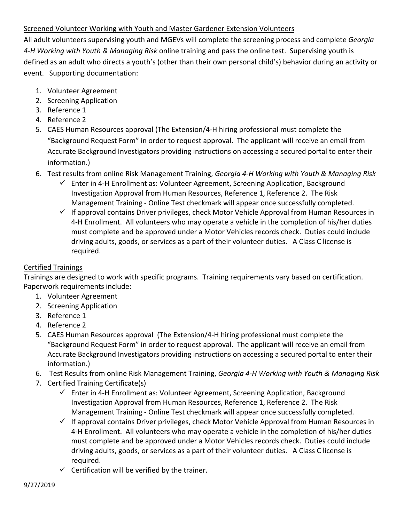# Screened Volunteer Working with Youth and Master Gardener Extension Volunteers

All adult volunteers supervising youth and MGEVs will complete the screening process and complete *Georgia 4‐H Working with Youth & Managing Risk* online training and pass the online test. Supervising youth is defined as an adult who directs a youth's (other than their own personal child's) behavior during an activity or event. Supporting documentation:

- 1. Volunteer Agreement
- 2. Screening Application
- 3. Reference 1
- 4. Reference 2
- 5. CAES Human Resources approval (The Extension/4-H hiring professional must complete the "Background Request Form" in order to request approval. The applicant will receive an email from Accurate Background Investigators providing instructions on accessing a secured portal to enter their information.)
- 6. Test results from online Risk Management Training, *Georgia 4‐H Working with Youth & Managing Risk*
	- Enter in 4‐H Enrollment as: Volunteer Agreement, Screening Application, Background Investigation Approval from Human Resources, Reference 1, Reference 2. The Risk Management Training ‐ Online Test checkmark will appear once successfully completed.
	- $\checkmark$  If approval contains Driver privileges, check Motor Vehicle Approval from Human Resources in 4‐H Enrollment. All volunteers who may operate a vehicle in the completion of his/her duties must complete and be approved under a Motor Vehicles records check. Duties could include driving adults, goods, or services as a part of their volunteer duties. A Class C license is required.

## Certified Trainings

Trainings are designed to work with specific programs. Training requirements vary based on certification. Paperwork requirements include:

- 1. Volunteer Agreement
- 2. Screening Application
- 3. Reference 1
- 4. Reference 2
- 5. CAES Human Resources approval (The Extension/4-H hiring professional must complete the "Background Request Form" in order to request approval. The applicant will receive an email from Accurate Background Investigators providing instructions on accessing a secured portal to enter their information.)
- 6. Test Results from online Risk Management Training, *Georgia 4‐H Working with Youth & Managing Risk*
- 7. Certified Training Certificate(s)
	- $\checkmark$  Enter in 4-H Enrollment as: Volunteer Agreement, Screening Application, Background Investigation Approval from Human Resources, Reference 1, Reference 2. The Risk Management Training ‐ Online Test checkmark will appear once successfully completed.
	- $\checkmark$  If approval contains Driver privileges, check Motor Vehicle Approval from Human Resources in 4-H Enrollment. All volunteers who may operate a vehicle in the completion of his/her duties must complete and be approved under a Motor Vehicles records check. Duties could include driving adults, goods, or services as a part of their volunteer duties. A Class C license is required.
	- $\checkmark$  Certification will be verified by the trainer.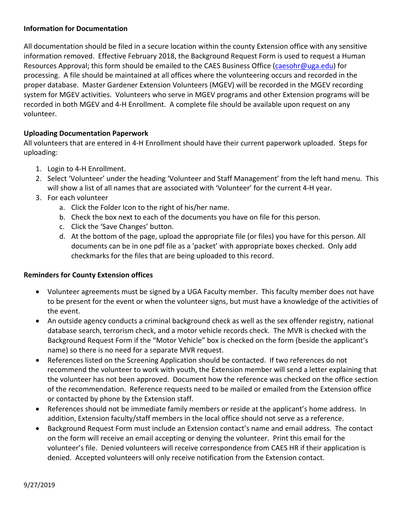## **Information for Documentation**

All documentation should be filed in a secure location within the county Extension office with any sensitive information removed. Effective February 2018, the Background Request Form is used to request a Human Resources Approval; this form should be emailed to the CAES Business Office (caesohr@uga.edu) for processing. A file should be maintained at all offices where the volunteering occurs and recorded in the proper database. Master Gardener Extension Volunteers (MGEV) will be recorded in the MGEV recording system for MGEV activities. Volunteers who serve in MGEV programs and other Extension programs will be recorded in both MGEV and 4‐H Enrollment. A complete file should be available upon request on any volunteer.

## **Uploading Documentation Paperwork**

All volunteers that are entered in 4‐H Enrollment should have their current paperwork uploaded. Steps for uploading:

- 1. Login to 4‐H Enrollment.
- 2. Select 'Volunteer' under the heading 'Volunteer and Staff Management' from the left hand menu. This will show a list of all names that are associated with 'Volunteer' for the current 4‐H year.
- 3. For each volunteer
	- a. Click the Folder Icon to the right of his/her name.
	- b. Check the box next to each of the documents you have on file for this person.
	- c. Click the 'Save Changes' button.
	- d. At the bottom of the page, upload the appropriate file (or files) you have for this person. All documents can be in one pdf file as a 'packet' with appropriate boxes checked. Only add checkmarks for the files that are being uploaded to this record.

### **Reminders for County Extension offices**

- Volunteer agreements must be signed by a UGA Faculty member. This faculty member does not have to be present for the event or when the volunteer signs, but must have a knowledge of the activities of the event.
- An outside agency conducts a criminal background check as well as the sex offender registry, national database search, terrorism check, and a motor vehicle records check. The MVR is checked with the Background Request Form if the "Motor Vehicle" box is checked on the form (beside the applicant's name) so there is no need for a separate MVR request.
- References listed on the Screening Application should be contacted. If two references do not recommend the volunteer to work with youth, the Extension member will send a letter explaining that the volunteer has not been approved. Document how the reference was checked on the office section of the recommendation. Reference requests need to be mailed or emailed from the Extension office or contacted by phone by the Extension staff.
- References should not be immediate family members or reside at the applicant's home address. In addition, Extension faculty/staff members in the local office should not serve as a reference.
- Background Request Form must include an Extension contact's name and email address. The contact on the form will receive an email accepting or denying the volunteer. Print this email for the volunteer's file. Denied volunteers will receive correspondence from CAES HR if their application is denied. Accepted volunteers will only receive notification from the Extension contact.